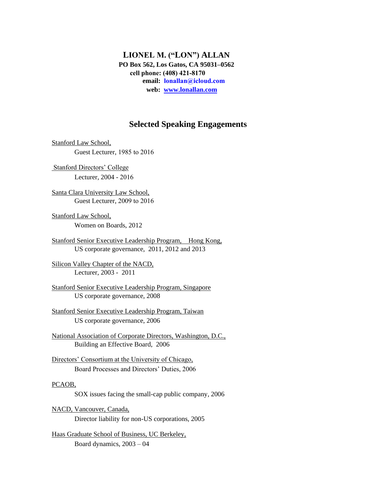**LIONEL M. ("LON") ALLAN PO Box 562, Los Gatos, CA 95031–0562 cell phone: (408) 421-8170 email: lonallan@icloud.com web: www.lonallan.com**

## **Selected Speaking Engagements**

Stanford Law School, Guest Lecturer, 1985 to 2016

Stanford Directors' College Lecturer, 2004 - 2016

Santa Clara University Law School, Guest Lecturer, 2009 to 2016

- Stanford Law School, Women on Boards, 2012
- Stanford Senior Executive Leadership Program, Hong Kong, US corporate governance, 2011, 2012 and 2013

Silicon Valley Chapter of the NACD, Lecturer, 2003 - 2011

Stanford Senior Executive Leadership Program, Singapore US corporate governance, 2008

Stanford Senior Executive Leadership Program, Taiwan US corporate governance, 2006

National Association of Corporate Directors, Washington, D.C., Building an Effective Board, 2006

Directors' Consortium at the University of Chicago, Board Processes and Directors' Duties, 2006

## PCAOB,

SOX issues facing the small-cap public company, 2006

NACD, Vancouver, Canada, Director liability for non-US corporations, 2005

Haas Graduate School of Business, UC Berkeley, Board dynamics, 2003 – 04